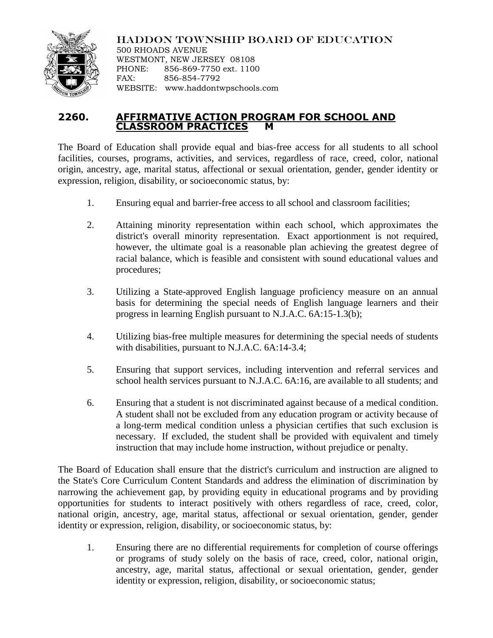

HADDON TOWNSHIP BOARD OF EDUCATION

500 RHOADS AVENUE WESTMONT, NEW JERSEY 08108 PHONE: 856-869-7750 ext. 1100 FAX: 856-854-7792 WEBSITE: www.haddontwpschools.com

## **2260. AFFIRMATIVE ACTION PROGRAM FOR SCHOOL AND CLASSROOM PRACTICES M**

The Board of Education shall provide equal and bias-free access for all students to all school facilities, courses, programs, activities, and services, regardless of race, creed, color, national origin, ancestry, age, marital status, affectional or sexual orientation, gender, gender identity or expression, religion, disability, or socioeconomic status, by:

- 1. Ensuring equal and barrier-free access to all school and classroom facilities;
- 2. Attaining minority representation within each school, which approximates the district's overall minority representation. Exact apportionment is not required, however, the ultimate goal is a reasonable plan achieving the greatest degree of racial balance, which is feasible and consistent with sound educational values and procedures;
- 3. Utilizing a State-approved English language proficiency measure on an annual basis for determining the special needs of English language learners and their progress in learning English pursuant to N.J.A.C. 6A:15-1.3(b);
- 4. Utilizing bias-free multiple measures for determining the special needs of students with disabilities, pursuant to N.J.A.C. 6A:14-3.4;
- 5. Ensuring that support services, including intervention and referral services and school health services pursuant to N.J.A.C. 6A:16, are available to all students; and
- 6. Ensuring that a student is not discriminated against because of a medical condition. A student shall not be excluded from any education program or activity because of a long-term medical condition unless a physician certifies that such exclusion is necessary. If excluded, the student shall be provided with equivalent and timely instruction that may include home instruction, without prejudice or penalty.

The Board of Education shall ensure that the district's curriculum and instruction are aligned to the State's Core Curriculum Content Standards and address the elimination of discrimination by narrowing the achievement gap, by providing equity in educational programs and by providing opportunities for students to interact positively with others regardless of race, creed, color, national origin, ancestry, age, marital status, affectional or sexual orientation, gender, gender identity or expression, religion, disability, or socioeconomic status, by:

1. Ensuring there are no differential requirements for completion of course offerings or programs of study solely on the basis of race, creed, color, national origin, ancestry, age, marital status, affectional or sexual orientation, gender, gender identity or expression, religion, disability, or socioeconomic status;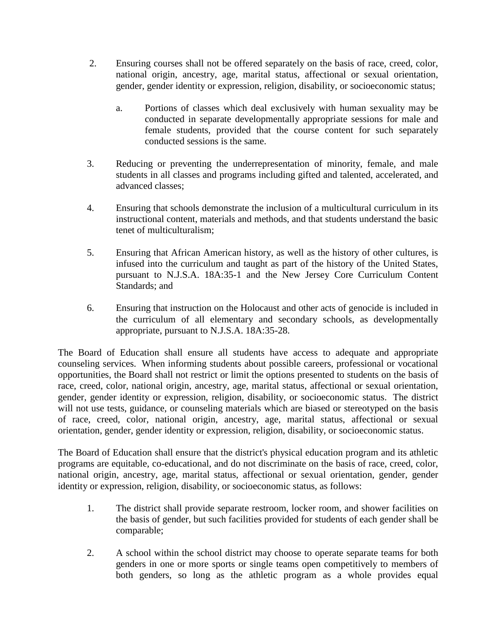- 2. Ensuring courses shall not be offered separately on the basis of race, creed, color, national origin, ancestry, age, marital status, affectional or sexual orientation, gender, gender identity or expression, religion, disability, or socioeconomic status;
	- a. Portions of classes which deal exclusively with human sexuality may be conducted in separate developmentally appropriate sessions for male and female students, provided that the course content for such separately conducted sessions is the same.
- 3. Reducing or preventing the underrepresentation of minority, female, and male students in all classes and programs including gifted and talented, accelerated, and advanced classes;
- 4. Ensuring that schools demonstrate the inclusion of a multicultural curriculum in its instructional content, materials and methods, and that students understand the basic tenet of multiculturalism;
- 5. Ensuring that African American history, as well as the history of other cultures, is infused into the curriculum and taught as part of the history of the United States, pursuant to N.J.S.A. 18A:35-1 and the New Jersey Core Curriculum Content Standards; and
- 6. Ensuring that instruction on the Holocaust and other acts of genocide is included in the curriculum of all elementary and secondary schools, as developmentally appropriate, pursuant to N.J.S.A. 18A:35-28.

The Board of Education shall ensure all students have access to adequate and appropriate counseling services. When informing students about possible careers, professional or vocational opportunities, the Board shall not restrict or limit the options presented to students on the basis of race, creed, color, national origin, ancestry, age, marital status, affectional or sexual orientation, gender, gender identity or expression, religion, disability, or socioeconomic status. The district will not use tests, guidance, or counseling materials which are biased or stereotyped on the basis of race, creed, color, national origin, ancestry, age, marital status, affectional or sexual orientation, gender, gender identity or expression, religion, disability, or socioeconomic status.

The Board of Education shall ensure that the district's physical education program and its athletic programs are equitable, co-educational, and do not discriminate on the basis of race, creed, color, national origin, ancestry, age, marital status, affectional or sexual orientation, gender, gender identity or expression, religion, disability, or socioeconomic status, as follows:

- 1. The district shall provide separate restroom, locker room, and shower facilities on the basis of gender, but such facilities provided for students of each gender shall be comparable;
- 2. A school within the school district may choose to operate separate teams for both genders in one or more sports or single teams open competitively to members of both genders, so long as the athletic program as a whole provides equal